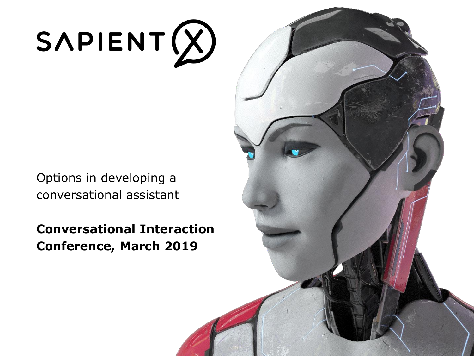# $SAPIENT(X)$

Options in developing a conversational assistant

**Conversational Interaction Conference, March 2019**

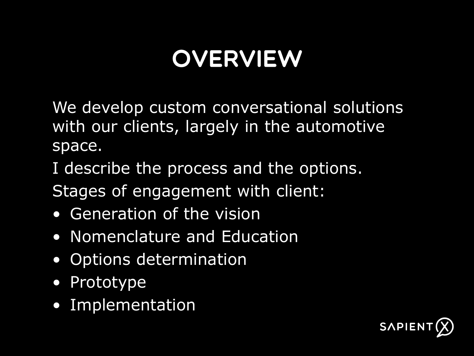### **OVERVIEW**

We develop custom conversational solutions with our clients, largely in the automotive space.

I describe the process and the options.

Stages of engagement with client:

- Generation of the vision
- Nomenclature and Education
- Options determination
- Prototype
- Implementation

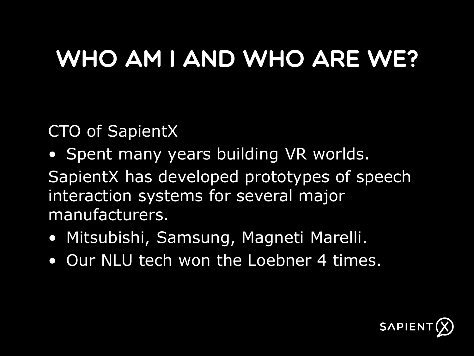#### WHO AM I AND WHO ARE WE?

CTO of SapientX

- Spent many years building VR worlds.
- SapientX has developed prototypes of speech interaction systems for several major manufacturers.
- Mitsubishi, Samsung, Magneti Marelli.
- Our NLU tech won the Loebner 4 times.

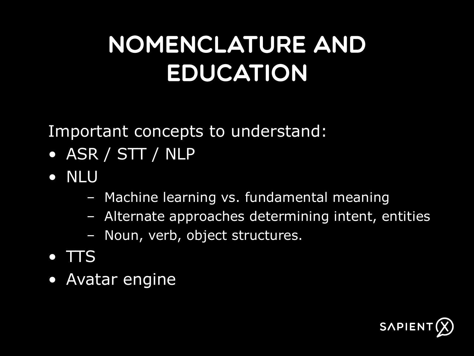#### NOMENCLATURE AND EDUCATION

Important concepts to understand:

- ASR / STT / NLP
- NLU
	- Machine learning vs. fundamental meaning
	- Alternate approaches determining intent, entities
	- Noun, verb, object structures.
- $\bullet$  TTS
- Avatar engine

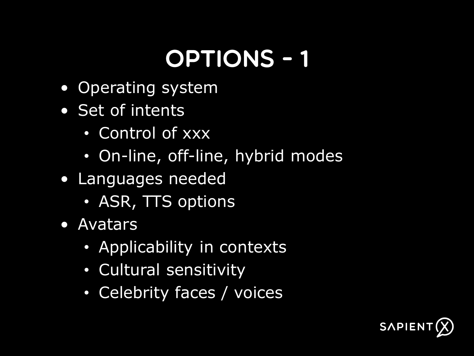### **OPTIONS - 1**

- Operating system
- Set of intents
	- Control of xxx
	- On-line, off-line, hybrid modes
- Languages needed
	- ASR, TTS options
- Avatars
	- Applicability in contexts
	- Cultural sensitivity
	- Celebrity faces / voices

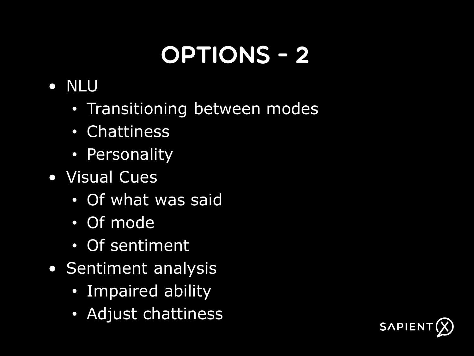## **OPTIONS - 2**

- NLU
	- Transitioning between modes
	- Chattiness
	- Personality
- Visual Cues
	- Of what was said
	- Of mode
	- Of sentiment
- Sentiment analysis
	- Impaired ability
	- Adjust chattiness

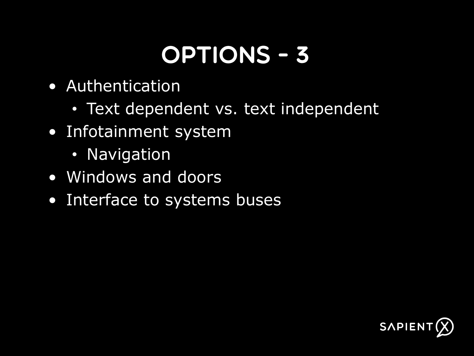#### **OPTIONS - 3**

- Authentication
	- Text dependent vs. text independent
- Infotainment system
	- Navigation
- Windows and doors
- Interface to systems buses

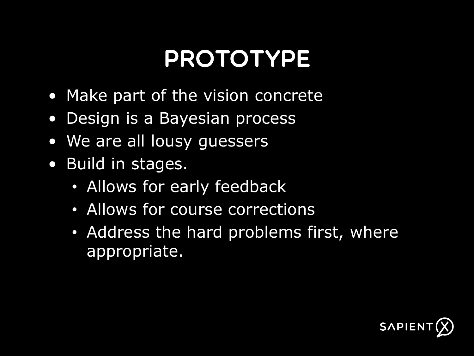#### **PROTOTYPE**

- Make part of the vision concrete
- Design is a Bayesian process
- We are all lousy guessers
- Build in stages.
	- Allows for early feedback
	- Allows for course corrections
	- Address the hard problems first, where appropriate.

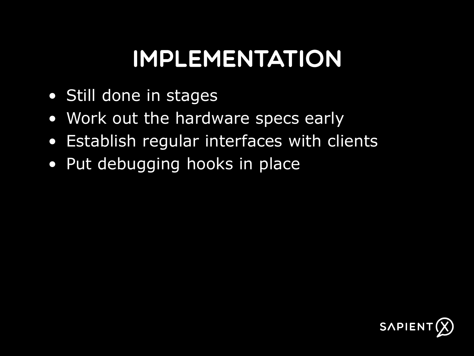#### **IMPLEMENTATION**

- Still done in stages
- Work out the hardware specs early
- Establish regular interfaces with clients
- Put debugging hooks in place